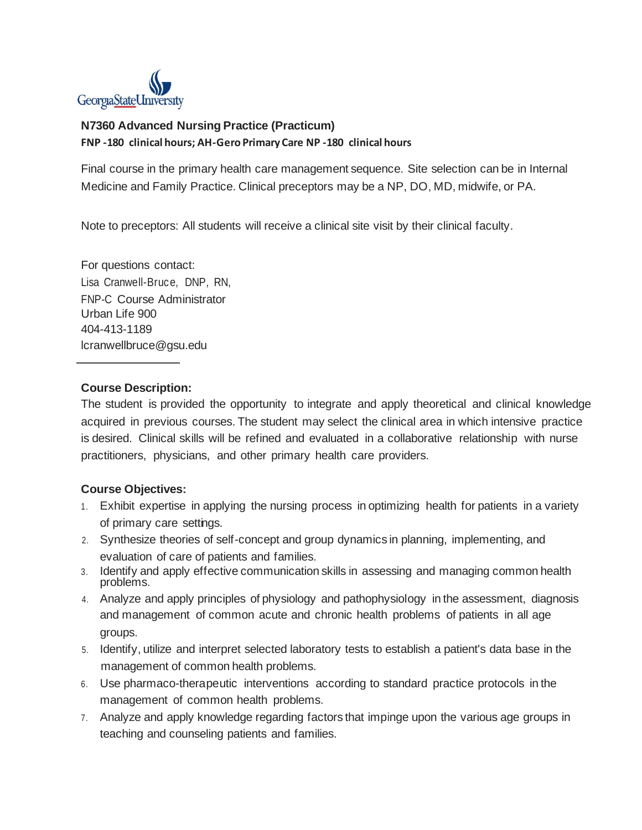

## **N7360 Advanced Nursing Practice (Practicum) FNP -180 clinical hours; AH-GeroPrimary Care NP -180 clinical hours**

Final course in the primary health care management sequence. Site selection can be in Internal Medicine and Family Practice. Clinical preceptors may be a NP, DO, MD, midwife, or PA.

Note to preceptors: All students will receive a clinical site visit by their clinical faculty.

For questions contact: Lisa Cranwell-Bruce, DNP, RN, FNP-C Course Administrator Urban Life 900 404-413-1189 lcranwellbruce@gsu.edu

## **Course Description:**

The student is provided the opportunity to integrate and apply theoretical and clinical knowledge acquired in previous courses. The student may select the clinical area in which intensive practice is desired. Clinical skills will be refined and evaluated in a collaborative relationship with nurse practitioners, physicians, and other primary health care providers.

## **Course Objectives:**

- 1. Exhibit expertise in applying the nursing process in optimizing health for patients in a variety of primary care settings.
- 2. Synthesize theories of self-concept and group dynamics in planning, implementing, and evaluation of care of patients and families.
- 3. Identify and apply effective communication skills in assessing and managing common health problems.
- 4. Analyze and apply principles of physiology and pathophysiology in the assessment, diagnosis and management of common acute and chronic health problems of patients in all age groups.
- 5. Identify, utilize and interpret selected laboratory tests to establish a patient's data base in the management of common health problems.
- 6. Use pharmaco-therapeutic interventions according to standard practice protocols in the management of common health problems.
- 7. Analyze and apply knowledge regarding factors that impinge upon the various age groups in teaching and counseling patients and families.